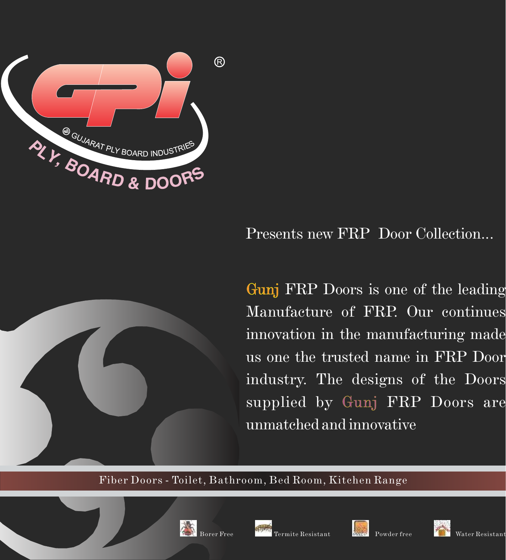

# Presents new FRP Door Collection...



# Fiber Doors - Toilet, Bathroom, Bed Room, Kitchen Range

Gunj FRP Doors is one of the leading Manufacture of FRP. Our continues innovation in the manufacturing made us one the trusted name in FRP Door industry. The designs of the Doors supplied by Gunj FRP Doors are

# unmatched and innovative

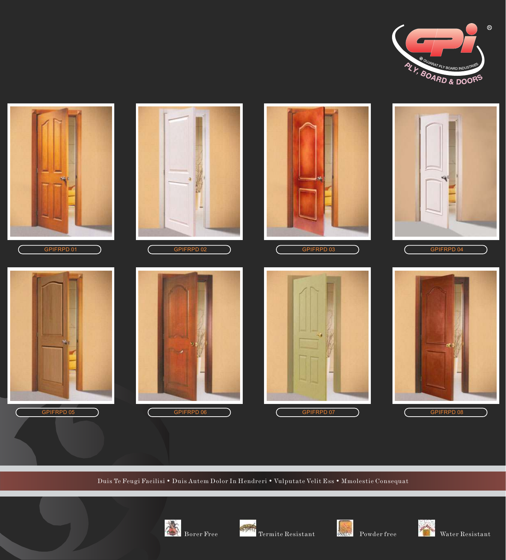### Duis Te Feugi Facilisi • Duis Autem Dolor In Hendreri • Vulputate Velit Ess • Mmolestie Consequat































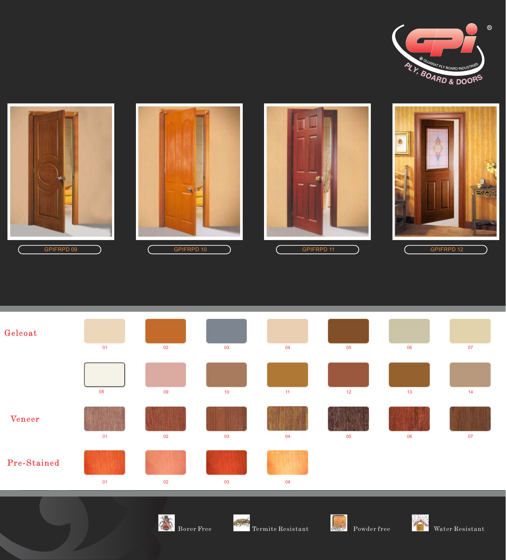